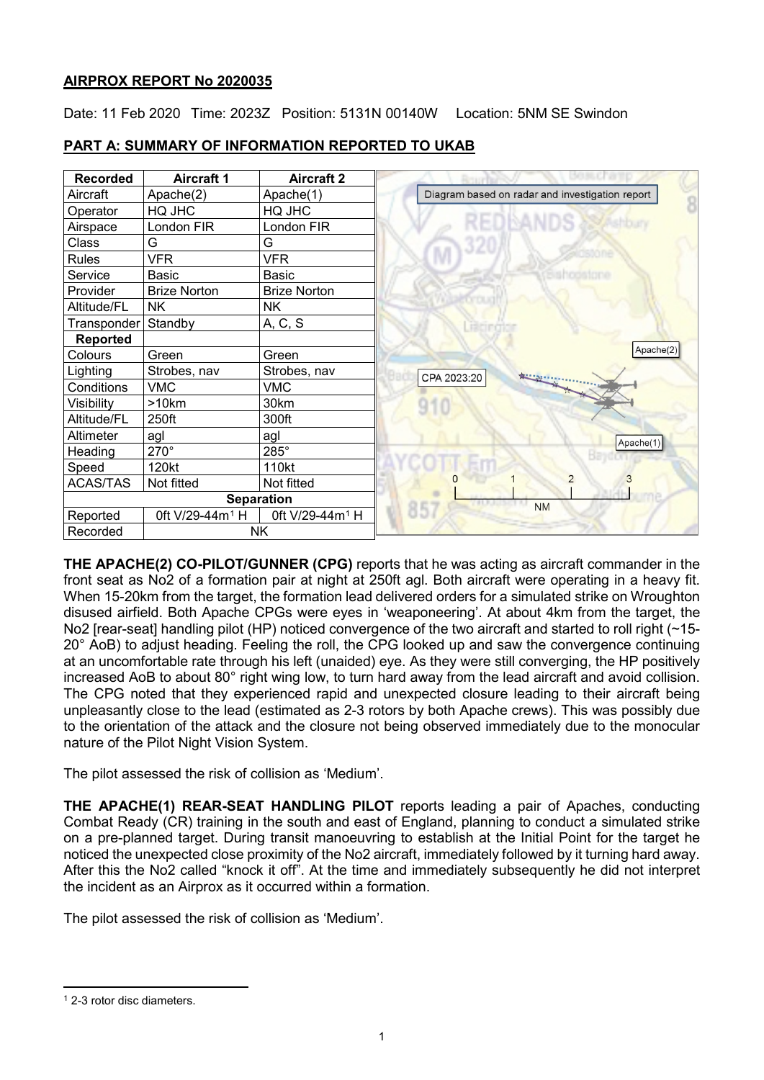# **AIRPROX REPORT No 2020035**

Date: 11 Feb 2020 Time: 2023Z Position: 5131N 00140W Location: 5NM SE Swindon



# **PART A: SUMMARY OF INFORMATION REPORTED TO UKAB**

**THE APACHE(2) CO-PILOT/GUNNER (CPG)** reports that he was acting as aircraft commander in the front seat as No2 of a formation pair at night at 250ft agl. Both aircraft were operating in a heavy fit. When 15-20km from the target, the formation lead delivered orders for a simulated strike on Wroughton disused airfield. Both Apache CPGs were eyes in 'weaponeering'. At about 4km from the target, the No2 [rear-seat] handling pilot (HP) noticed convergence of the two aircraft and started to roll right (~15-20° AoB) to adjust heading. Feeling the roll, the CPG looked up and saw the convergence continuing at an uncomfortable rate through his left (unaided) eye. As they were still converging, the HP positively increased AoB to about 80° right wing low, to turn hard away from the lead aircraft and avoid collision. The CPG noted that they experienced rapid and unexpected closure leading to their aircraft being unpleasantly close to the lead (estimated as 2-3 rotors by both Apache crews). This was possibly due to the orientation of the attack and the closure not being observed immediately due to the monocular nature of the Pilot Night Vision System.

The pilot assessed the risk of collision as 'Medium'.

**THE APACHE(1) REAR-SEAT HANDLING PILOT** reports leading a pair of Apaches, conducting Combat Ready (CR) training in the south and east of England, planning to conduct a simulated strike on a pre-planned target. During transit manoeuvring to establish at the Initial Point for the target he noticed the unexpected close proximity of the No2 aircraft, immediately followed by it turning hard away. After this the No2 called "knock it off". At the time and immediately subsequently he did not interpret the incident as an Airprox as it occurred within a formation.

The pilot assessed the risk of collision as 'Medium'.

<span id="page-0-0"></span>l <sup>1</sup> 2-3 rotor disc diameters.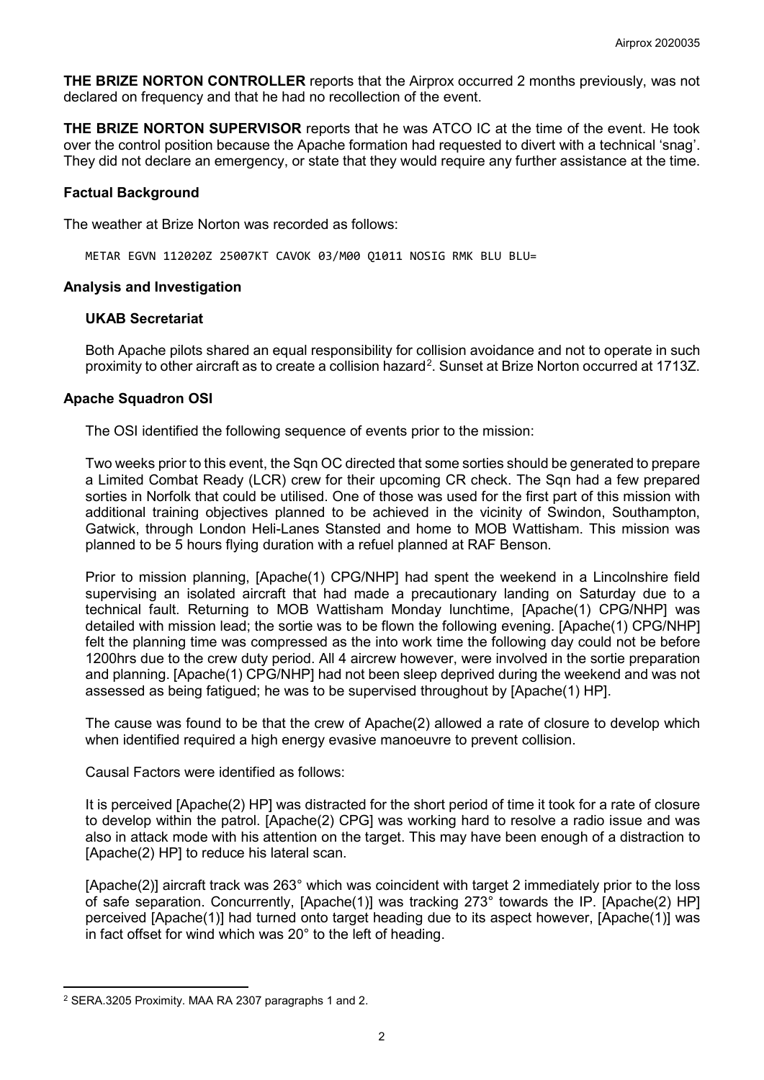**THE BRIZE NORTON CONTROLLER** reports that the Airprox occurred 2 months previously, was not declared on frequency and that he had no recollection of the event.

**THE BRIZE NORTON SUPERVISOR** reports that he was ATCO IC at the time of the event. He took over the control position because the Apache formation had requested to divert with a technical 'snag'. They did not declare an emergency, or state that they would require any further assistance at the time.

## **Factual Background**

The weather at Brize Norton was recorded as follows:

METAR EGVN 112020Z 25007KT CAVOK 03/M00 Q1011 NOSIG RMK BLU BLU=

## **Analysis and Investigation**

## **UKAB Secretariat**

Both Apache pilots shared an equal responsibility for collision avoidance and not to operate in such proximity to other aircraft as to create a collision hazard<sup>[2](#page-1-0)</sup>. Sunset at Brize Norton occurred at 1713Z.

## **Apache Squadron OSI**

The OSI identified the following sequence of events prior to the mission:

Two weeks prior to this event, the Sqn OC directed that some sorties should be generated to prepare a Limited Combat Ready (LCR) crew for their upcoming CR check. The Sqn had a few prepared sorties in Norfolk that could be utilised. One of those was used for the first part of this mission with additional training objectives planned to be achieved in the vicinity of Swindon, Southampton, Gatwick, through London Heli-Lanes Stansted and home to MOB Wattisham. This mission was planned to be 5 hours flying duration with a refuel planned at RAF Benson.

Prior to mission planning, [Apache(1) CPG/NHP] had spent the weekend in a Lincolnshire field supervising an isolated aircraft that had made a precautionary landing on Saturday due to a technical fault. Returning to MOB Wattisham Monday lunchtime, [Apache(1) CPG/NHP] was detailed with mission lead; the sortie was to be flown the following evening. [Apache(1) CPG/NHP] felt the planning time was compressed as the into work time the following day could not be before 1200hrs due to the crew duty period. All 4 aircrew however, were involved in the sortie preparation and planning. [Apache(1) CPG/NHP] had not been sleep deprived during the weekend and was not assessed as being fatigued; he was to be supervised throughout by [Apache(1) HP].

The cause was found to be that the crew of Apache(2) allowed a rate of closure to develop which when identified required a high energy evasive manoeuvre to prevent collision.

Causal Factors were identified as follows:

It is perceived [Apache(2) HP] was distracted for the short period of time it took for a rate of closure to develop within the patrol. [Apache(2) CPG] was working hard to resolve a radio issue and was also in attack mode with his attention on the target. This may have been enough of a distraction to [Apache(2) HP] to reduce his lateral scan.

[Apache(2)] aircraft track was 263° which was coincident with target 2 immediately prior to the loss of safe separation. Concurrently, [Apache(1)] was tracking 273° towards the IP. [Apache(2) HP] perceived [Apache(1)] had turned onto target heading due to its aspect however, [Apache(1)] was in fact offset for wind which was 20° to the left of heading.

l

<span id="page-1-0"></span><sup>2</sup> SERA.3205 Proximity. MAA RA 2307 paragraphs 1 and 2.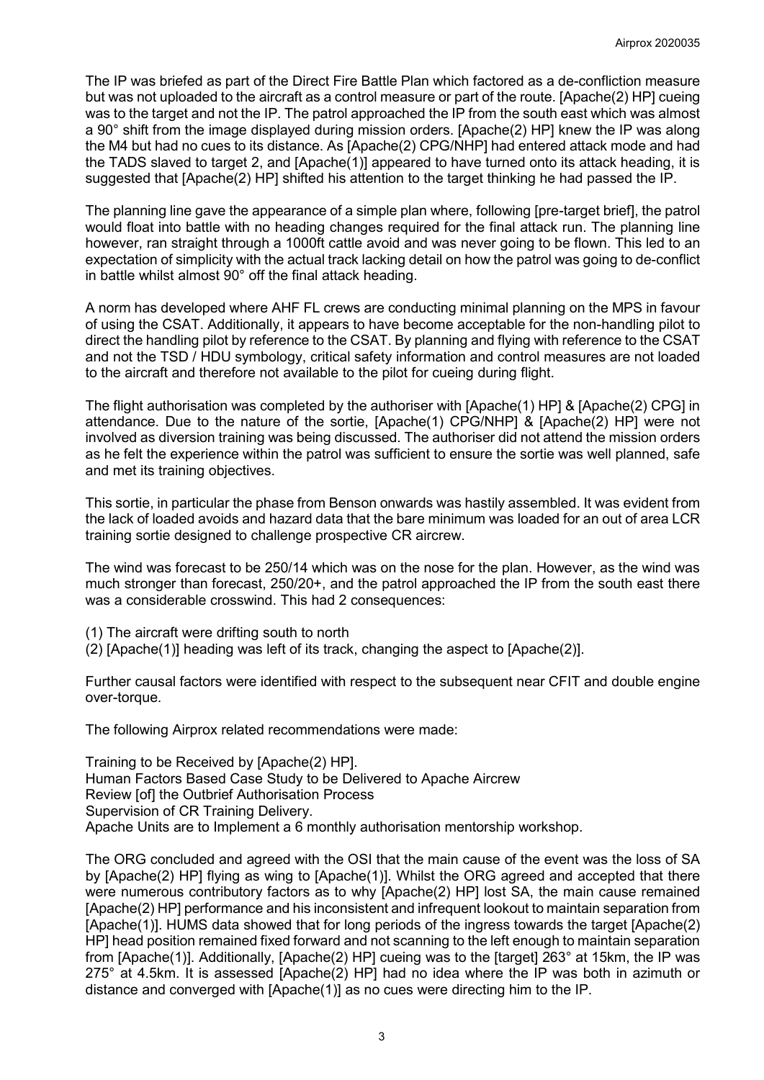The IP was briefed as part of the Direct Fire Battle Plan which factored as a de-confliction measure but was not uploaded to the aircraft as a control measure or part of the route. [Apache(2) HP] cueing was to the target and not the IP. The patrol approached the IP from the south east which was almost a 90° shift from the image displayed during mission orders. [Apache(2) HP] knew the IP was along the M4 but had no cues to its distance. As [Apache(2) CPG/NHP] had entered attack mode and had the TADS slaved to target 2, and [Apache(1)] appeared to have turned onto its attack heading, it is suggested that [Apache(2) HP] shifted his attention to the target thinking he had passed the IP.

The planning line gave the appearance of a simple plan where, following [pre-target brief], the patrol would float into battle with no heading changes required for the final attack run. The planning line however, ran straight through a 1000ft cattle avoid and was never going to be flown. This led to an expectation of simplicity with the actual track lacking detail on how the patrol was going to de-conflict in battle whilst almost 90° off the final attack heading.

A norm has developed where AHF FL crews are conducting minimal planning on the MPS in favour of using the CSAT. Additionally, it appears to have become acceptable for the non-handling pilot to direct the handling pilot by reference to the CSAT. By planning and flying with reference to the CSAT and not the TSD / HDU symbology, critical safety information and control measures are not loaded to the aircraft and therefore not available to the pilot for cueing during flight.

The flight authorisation was completed by the authoriser with [Apache(1) HP] & [Apache(2) CPG] in attendance. Due to the nature of the sortie, [Apache(1) CPG/NHP] & [Apache(2) HP] were not involved as diversion training was being discussed. The authoriser did not attend the mission orders as he felt the experience within the patrol was sufficient to ensure the sortie was well planned, safe and met its training objectives.

This sortie, in particular the phase from Benson onwards was hastily assembled. It was evident from the lack of loaded avoids and hazard data that the bare minimum was loaded for an out of area LCR training sortie designed to challenge prospective CR aircrew.

The wind was forecast to be 250/14 which was on the nose for the plan. However, as the wind was much stronger than forecast, 250/20+, and the patrol approached the IP from the south east there was a considerable crosswind. This had 2 consequences:

(1) The aircraft were drifting south to north

(2) [Apache(1)] heading was left of its track, changing the aspect to [Apache(2)].

Further causal factors were identified with respect to the subsequent near CFIT and double engine over-torque.

The following Airprox related recommendations were made:

Training to be Received by [Apache(2) HP]. Human Factors Based Case Study to be Delivered to Apache Aircrew Review [of] the Outbrief Authorisation Process Supervision of CR Training Delivery. Apache Units are to Implement a 6 monthly authorisation mentorship workshop.

The ORG concluded and agreed with the OSI that the main cause of the event was the loss of SA by [Apache(2) HP] flying as wing to [Apache(1)]. Whilst the ORG agreed and accepted that there were numerous contributory factors as to why [Apache(2) HP] lost SA, the main cause remained [Apache(2) HP] performance and his inconsistent and infrequent lookout to maintain separation from [Apache(1)]. HUMS data showed that for long periods of the ingress towards the target [Apache(2) HP] head position remained fixed forward and not scanning to the left enough to maintain separation from [Apache(1)]. Additionally, [Apache(2) HP] cueing was to the [target] 263° at 15km, the IP was 275° at 4.5km. It is assessed [Apache(2) HP] had no idea where the IP was both in azimuth or distance and converged with [Apache(1)] as no cues were directing him to the IP.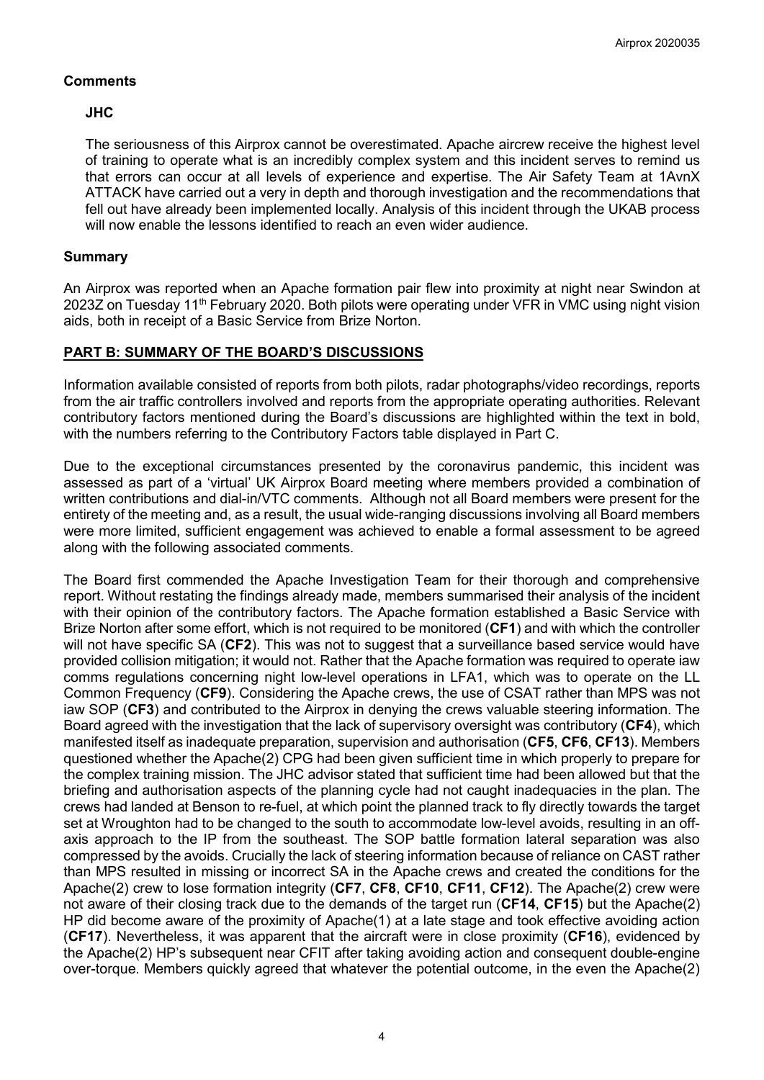# **Comments**

# **JHC**

The seriousness of this Airprox cannot be overestimated. Apache aircrew receive the highest level of training to operate what is an incredibly complex system and this incident serves to remind us that errors can occur at all levels of experience and expertise. The Air Safety Team at 1AvnX ATTACK have carried out a very in depth and thorough investigation and the recommendations that fell out have already been implemented locally. Analysis of this incident through the UKAB process will now enable the lessons identified to reach an even wider audience.

# **Summary**

An Airprox was reported when an Apache formation pair flew into proximity at night near Swindon at 2023Z on Tuesday 11<sup>th</sup> February 2020. Both pilots were operating under VFR in VMC using night vision aids, both in receipt of a Basic Service from Brize Norton.

# **PART B: SUMMARY OF THE BOARD'S DISCUSSIONS**

Information available consisted of reports from both pilots, radar photographs/video recordings, reports from the air traffic controllers involved and reports from the appropriate operating authorities. Relevant contributory factors mentioned during the Board's discussions are highlighted within the text in bold, with the numbers referring to the Contributory Factors table displayed in Part C.

Due to the exceptional circumstances presented by the coronavirus pandemic, this incident was assessed as part of a 'virtual' UK Airprox Board meeting where members provided a combination of written contributions and dial-in/VTC comments. Although not all Board members were present for the entirety of the meeting and, as a result, the usual wide-ranging discussions involving all Board members were more limited, sufficient engagement was achieved to enable a formal assessment to be agreed along with the following associated comments.

The Board first commended the Apache Investigation Team for their thorough and comprehensive report. Without restating the findings already made, members summarised their analysis of the incident with their opinion of the contributory factors. The Apache formation established a Basic Service with Brize Norton after some effort, which is not required to be monitored (**CF1**) and with which the controller will not have specific SA (**CF2**). This was not to suggest that a surveillance based service would have provided collision mitigation; it would not. Rather that the Apache formation was required to operate iaw comms regulations concerning night low-level operations in LFA1, which was to operate on the LL Common Frequency (**CF9**). Considering the Apache crews, the use of CSAT rather than MPS was not iaw SOP (**CF3**) and contributed to the Airprox in denying the crews valuable steering information. The Board agreed with the investigation that the lack of supervisory oversight was contributory (**CF4**), which manifested itself as inadequate preparation, supervision and authorisation (**CF5**, **CF6**, **CF13**). Members questioned whether the Apache(2) CPG had been given sufficient time in which properly to prepare for the complex training mission. The JHC advisor stated that sufficient time had been allowed but that the briefing and authorisation aspects of the planning cycle had not caught inadequacies in the plan. The crews had landed at Benson to re-fuel, at which point the planned track to fly directly towards the target set at Wroughton had to be changed to the south to accommodate low-level avoids, resulting in an offaxis approach to the IP from the southeast. The SOP battle formation lateral separation was also compressed by the avoids. Crucially the lack of steering information because of reliance on CAST rather than MPS resulted in missing or incorrect SA in the Apache crews and created the conditions for the Apache(2) crew to lose formation integrity (**CF7**, **CF8**, **CF10**, **CF11**, **CF12**). The Apache(2) crew were not aware of their closing track due to the demands of the target run (**CF14**, **CF15**) but the Apache(2) HP did become aware of the proximity of Apache(1) at a late stage and took effective avoiding action (**CF17**). Nevertheless, it was apparent that the aircraft were in close proximity (**CF16**), evidenced by the Apache(2) HP's subsequent near CFIT after taking avoiding action and consequent double-engine over-torque. Members quickly agreed that whatever the potential outcome, in the even the Apache(2)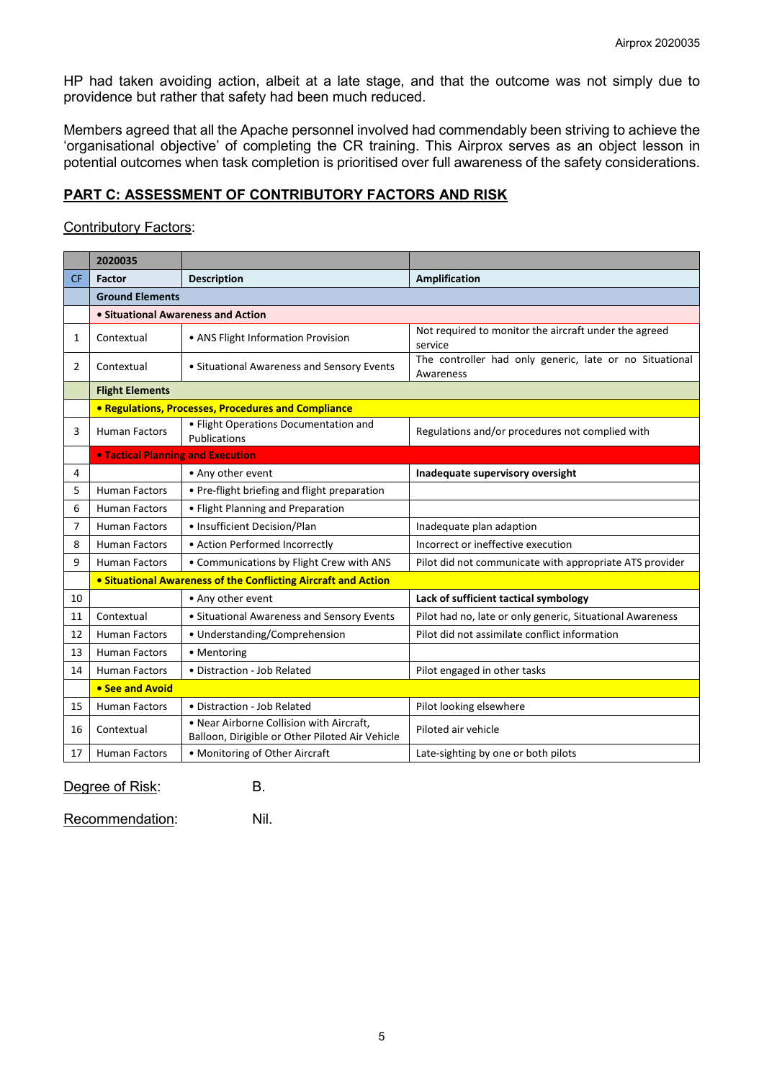HP had taken avoiding action, albeit at a late stage, and that the outcome was not simply due to providence but rather that safety had been much reduced.

Members agreed that all the Apache personnel involved had commendably been striving to achieve the 'organisational objective' of completing the CR training. This Airprox serves as an object lesson in potential outcomes when task completion is prioritised over full awareness of the safety considerations.

# **PART C: ASSESSMENT OF CONTRIBUTORY FACTORS AND RISK**

#### Contributory Factors:

|           | 2020035                                                        |                                                                                             |                                                                      |
|-----------|----------------------------------------------------------------|---------------------------------------------------------------------------------------------|----------------------------------------------------------------------|
| <b>CF</b> | Factor                                                         | <b>Description</b>                                                                          | Amplification                                                        |
|           | <b>Ground Elements</b>                                         |                                                                                             |                                                                      |
|           | • Situational Awareness and Action                             |                                                                                             |                                                                      |
| 1         | Contextual                                                     | • ANS Flight Information Provision                                                          | Not required to monitor the aircraft under the agreed<br>service     |
| 2         | Contextual                                                     | • Situational Awareness and Sensory Events                                                  | The controller had only generic, late or no Situational<br>Awareness |
|           | <b>Flight Elements</b>                                         |                                                                                             |                                                                      |
|           | • Regulations, Processes, Procedures and Compliance            |                                                                                             |                                                                      |
| 3         | <b>Human Factors</b>                                           | • Flight Operations Documentation and<br>Publications                                       | Regulations and/or procedures not complied with                      |
|           | <b>. Tactical Planning and Execution</b>                       |                                                                                             |                                                                      |
| 4         |                                                                | • Any other event                                                                           | Inadequate supervisory oversight                                     |
| 5         | <b>Human Factors</b>                                           | • Pre-flight briefing and flight preparation                                                |                                                                      |
| 6         | <b>Human Factors</b>                                           | • Flight Planning and Preparation                                                           |                                                                      |
| 7         | <b>Human Factors</b>                                           | • Insufficient Decision/Plan                                                                | Inadequate plan adaption                                             |
| 8         | <b>Human Factors</b>                                           | • Action Performed Incorrectly                                                              | Incorrect or ineffective execution                                   |
| 9         | <b>Human Factors</b>                                           | • Communications by Flight Crew with ANS                                                    | Pilot did not communicate with appropriate ATS provider              |
|           | • Situational Awareness of the Conflicting Aircraft and Action |                                                                                             |                                                                      |
| 10        |                                                                | • Any other event                                                                           | Lack of sufficient tactical symbology                                |
| 11        | Contextual                                                     | • Situational Awareness and Sensory Events                                                  | Pilot had no, late or only generic, Situational Awareness            |
| 12        | <b>Human Factors</b>                                           | • Understanding/Comprehension                                                               | Pilot did not assimilate conflict information                        |
| 13        | <b>Human Factors</b>                                           | • Mentoring                                                                                 |                                                                      |
| 14        | <b>Human Factors</b>                                           | · Distraction - Job Related                                                                 | Pilot engaged in other tasks                                         |
|           | • See and Avoid                                                |                                                                                             |                                                                      |
| 15        | <b>Human Factors</b>                                           | • Distraction - Job Related                                                                 | Pilot looking elsewhere                                              |
| 16        | Contextual                                                     | . Near Airborne Collision with Aircraft,<br>Balloon, Dirigible or Other Piloted Air Vehicle | Piloted air vehicle                                                  |
| 17        | <b>Human Factors</b>                                           | • Monitoring of Other Aircraft                                                              | Late-sighting by one or both pilots                                  |

Degree of Risk: B.

Recommendation: Nil.